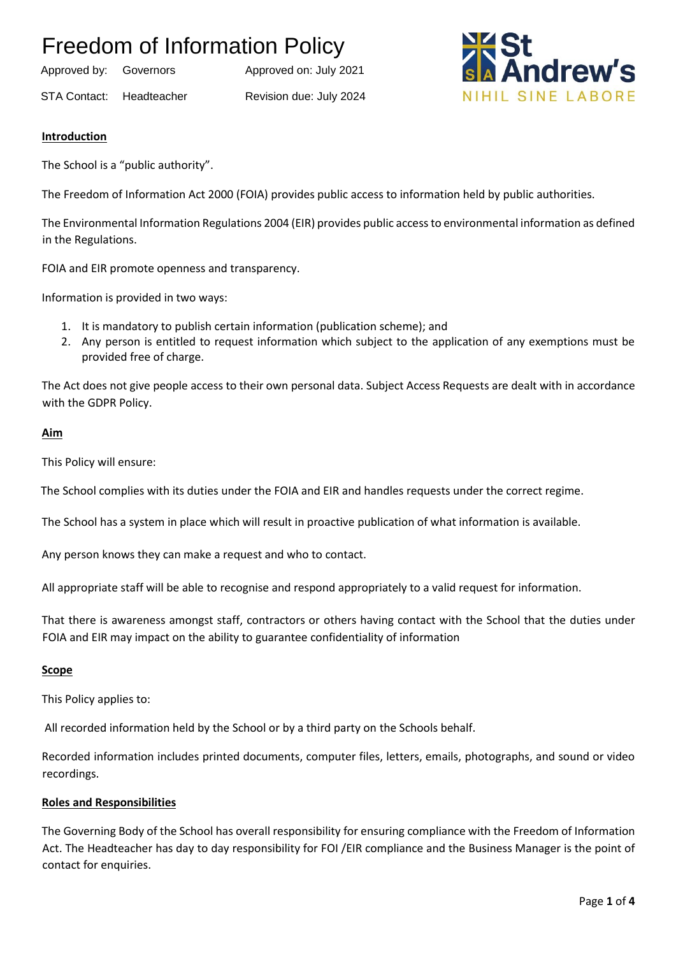Approved by: Governors Approved on: July 2021

STA Contact: Headteacher Revision due: July 2024



#### **Introduction**

The School is a "public authority".

The Freedom of Information Act 2000 (FOIA) provides public access to information held by public authorities.

The Environmental Information Regulations 2004 (EIR) provides public access to environmental information as defined in the Regulations.

FOIA and EIR promote openness and transparency.

Information is provided in two ways:

- 1. It is mandatory to publish certain information (publication scheme); and
- 2. Any person is entitled to request information which subject to the application of any exemptions must be provided free of charge.

The Act does not give people access to their own personal data. Subject Access Requests are dealt with in accordance with the GDPR Policy.

#### **Aim**

This Policy will ensure:

The School complies with its duties under the FOIA and EIR and handles requests under the correct regime.

The School has a system in place which will result in proactive publication of what information is available.

Any person knows they can make a request and who to contact.

All appropriate staff will be able to recognise and respond appropriately to a valid request for information.

That there is awareness amongst staff, contractors or others having contact with the School that the duties under FOIA and EIR may impact on the ability to guarantee confidentiality of information

#### **Scope**

This Policy applies to:

All recorded information held by the School or by a third party on the Schools behalf.

Recorded information includes printed documents, computer files, letters, emails, photographs, and sound or video recordings.

#### **Roles and Responsibilities**

The Governing Body of the School has overall responsibility for ensuring compliance with the Freedom of Information Act. The Headteacher has day to day responsibility for FOI /EIR compliance and the Business Manager is the point of contact for enquiries.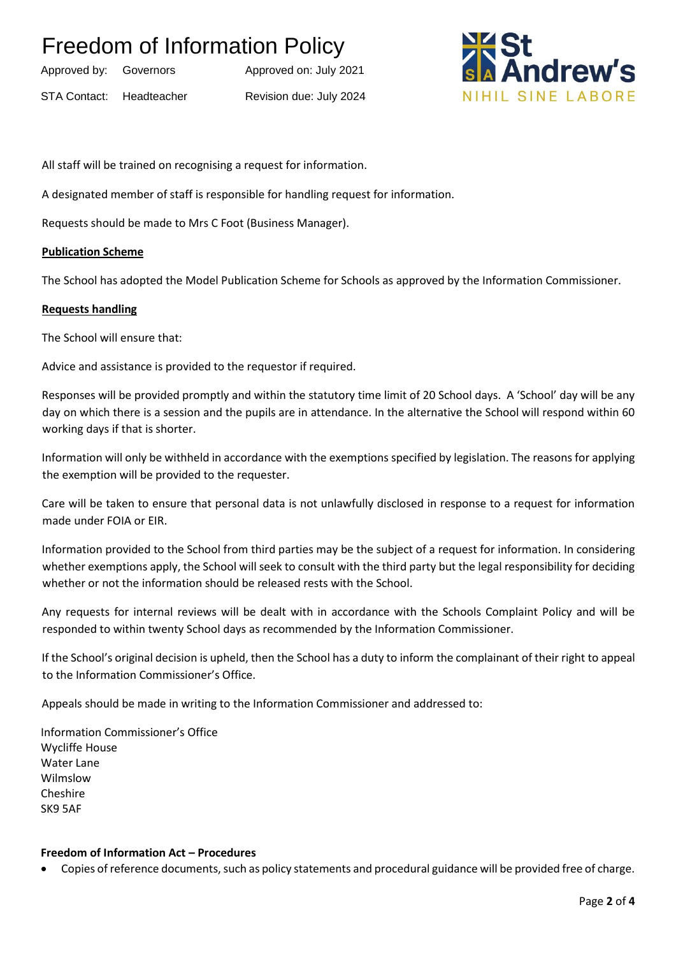| Approved by: | Governors   |  |
|--------------|-------------|--|
| STA Contact: | Headteacher |  |

Approved on: July 2021 Revision due: July 2024



All staff will be trained on recognising a request for information.

A designated member of staff is responsible for handling request for information.

Requests should be made to Mrs C Foot (Business Manager).

#### **Publication Scheme**

The School has adopted the Model Publication Scheme for Schools as approved by the Information Commissioner.

#### **Requests handling**

The School will ensure that:

Advice and assistance is provided to the requestor if required.

Responses will be provided promptly and within the statutory time limit of 20 School days. A 'School' day will be any day on which there is a session and the pupils are in attendance. In the alternative the School will respond within 60 working days if that is shorter.

Information will only be withheld in accordance with the exemptions specified by legislation. The reasons for applying the exemption will be provided to the requester.

Care will be taken to ensure that personal data is not unlawfully disclosed in response to a request for information made under FOIA or EIR.

Information provided to the School from third parties may be the subject of a request for information. In considering whether exemptions apply, the School will seek to consult with the third party but the legal responsibility for deciding whether or not the information should be released rests with the School.

Any requests for internal reviews will be dealt with in accordance with the Schools Complaint Policy and will be responded to within twenty School days as recommended by the Information Commissioner.

If the School's original decision is upheld, then the School has a duty to inform the complainant of their right to appeal to the Information Commissioner's Office.

Appeals should be made in writing to the Information Commissioner and addressed to:

Information Commissioner's Office Wycliffe House Water Lane Wilmslow Cheshire SK9 5AF

#### **Freedom of Information Act – Procedures**

• Copies of reference documents, such as policy statements and procedural guidance will be provided free of charge.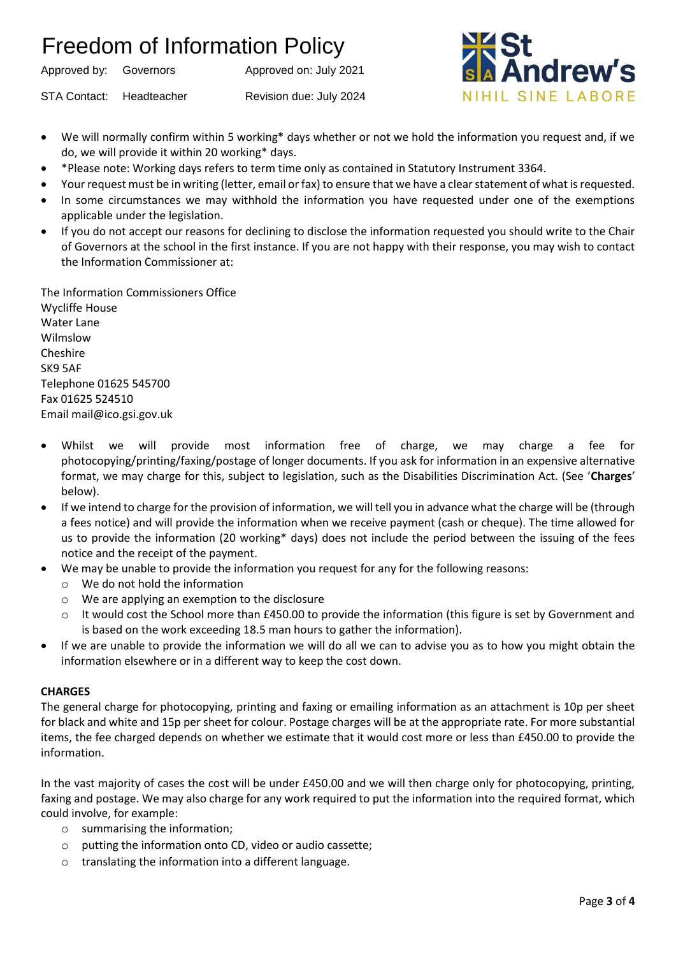Approved by: Governors Approved on: July 2021

STA Contact: Headteacher Revision due: July 2024



- We will normally confirm within 5 working\* days whether or not we hold the information you request and, if we do, we will provide it within 20 working\* days.
- \*Please note: Working days refers to term time only as contained in Statutory Instrument 3364.
- Your request must be in writing (letter, email or fax) to ensure that we have a clear statement of what is requested.
- In some circumstances we may withhold the information you have requested under one of the exemptions applicable under the legislation.
- If you do not accept our reasons for declining to disclose the information requested you should write to the Chair of Governors at the school in the first instance. If you are not happy with their response, you may wish to contact the Information Commissioner at:

The Information Commissioners Office Wycliffe House Water Lane Wilmslow Cheshire SK9 5AF Telephone 01625 545700 Fax 01625 524510 Email mail@ico.gsi.gov.uk

- Whilst we will provide most information free of charge, we may charge a fee for photocopying/printing/faxing/postage of longer documents. If you ask for information in an expensive alternative format, we may charge for this, subject to legislation, such as the Disabilities Discrimination Act. (See '**Charges**' below).
- If we intend to charge for the provision of information, we will tell you in advance what the charge will be (through a fees notice) and will provide the information when we receive payment (cash or cheque). The time allowed for us to provide the information (20 working\* days) does not include the period between the issuing of the fees notice and the receipt of the payment.
- We may be unable to provide the information you request for any for the following reasons:
	- o We do not hold the information
	- o We are applying an exemption to the disclosure
	- o It would cost the School more than £450.00 to provide the information (this figure is set by Government and is based on the work exceeding 18.5 man hours to gather the information).
- If we are unable to provide the information we will do all we can to advise you as to how you might obtain the information elsewhere or in a different way to keep the cost down.

#### **CHARGES**

The general charge for photocopying, printing and faxing or emailing information as an attachment is 10p per sheet for black and white and 15p per sheet for colour. Postage charges will be at the appropriate rate. For more substantial items, the fee charged depends on whether we estimate that it would cost more or less than £450.00 to provide the information.

In the vast majority of cases the cost will be under £450.00 and we will then charge only for photocopying, printing, faxing and postage. We may also charge for any work required to put the information into the required format, which could involve, for example:

- o summarising the information;
- o putting the information onto CD, video or audio cassette;
- o translating the information into a different language.